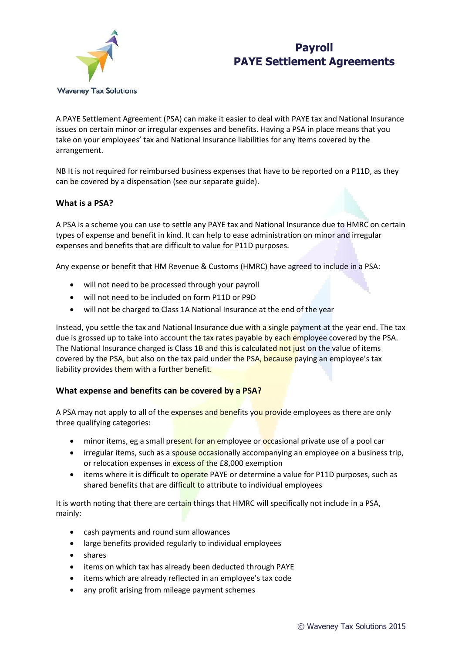



A PAYE Settlement Agreement (PSA) can make it easier to deal with PAYE tax and National Insurance issues on certain minor or irregular expenses and benefits. Having a PSA in place means that you take on your employees' tax and National Insurance liabilities for any items covered by the arrangement.

NB It is not required for reimbursed business expenses that have to be reported on a P11D, as they can be covered by a dispensation (see our separate guide).

#### **What is a PSA?**

A PSA is a scheme you can use to settle any PAYE tax and National Insurance due to HMRC on certain types of expense and benefit in kind. It can help to ease administration on minor and irregular expenses and benefits that are difficult to value for P11D purposes.

Any expense or benefit that HM Revenue & Customs (HMRC) have agreed to include in a PSA:

- will not need to be processed through your payroll
- will not need to be included on form P11D or P9D
- will not be charged to Class 1A National Insurance at the end of the year

Instead, you settle the tax and National Insurance due with a single payment at the year end. The tax due is grossed up to take into account the tax rates payable by each employee covered by the PSA. The National Insurance charged is Class 1B and this is calculated not just on the value of items covered by the PSA, but also on the tax paid under the PSA, because paying an employee's tax liability provides them with a further benefit.

### **What expense and benefits can be covered by a PSA?**

A PSA may not apply to all of the expenses and benefits you provide employees as there are only three qualifying categories:

- minor items, eg a small present for an employee or occasional private use of a pool car
- irregular items, such as a spouse occasionally accompanying an employee on a business trip, or relocation expenses in excess of the £8,000 exemption
- items where it is difficult to operate PAYE or determine a value for P11D purposes, such as shared benefits that are difficult to attribute to individual employees

It is worth noting that there are certain things that HMRC will specifically not include in a PSA, mainly:

- cash payments and round sum allowances
- large benefits provided regularly to individual employees
- shares
- items on which tax has already been deducted through PAYE
- items which are already reflected in an employee's tax code
- any profit arising from mileage payment schemes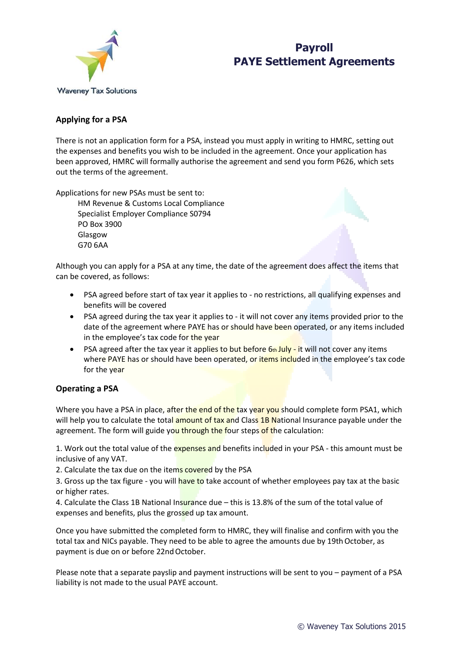

# **Payroll PAYE Settlement Agreements**

# **Applying for a PSA**

There is not an application form for a PSA, instead you must apply in writing to HMRC, setting out the expenses and benefits you wish to be included in the agreement. Once your application has been approved, HMRC will formally authorise the agreement and send you form P626, which sets out the terms of the agreement.

Applications for new PSAs must be sent to:

HM Revenue & Customs Local Compliance Specialist Employer Compliance S0794 PO Box 3900 Glasgow G70 6AA

Although you can apply for a PSA at any time, the date of the agreement does affect the items that can be covered, as follows:

- PSA agreed before start of tax year it applies to no restrictions, all qualifying expenses and benefits will be covered
- PSA agreed during the tax year it applies to it will not cover any items provided prior to the date of the agreement where PAYE has or should have been operated, or any items included in the employee's tax code for the year
- PSA agreed after the tax year it applies to but before  $6<sub>th</sub>$  July it will not cover any items where PAYE has or should have been operated, or items included in the employee's tax code for the year

# **Operating a PSA**

Where you have a PSA in place, after the end of the tax year you should complete form PSA1, which will help you to calculate the total amount of tax and Class 1B National Insurance payable under the agreement. The form will guide you through the four steps of the calculation:

1. Work out the total value of the expenses and benefits included in your PSA - this amount must be inclusive of any VAT.

2. Calculate the tax due on the items covered by the PSA

3. Gross up the tax figure - you will have to take account of whether employees pay tax at the basic or higher rates.

4. Calculate the Class 1B National Insurance due – this is 13.8% of the sum of the total value of expenses and benefits, plus the grossed up tax amount.

Once you have submitted the completed form to HMRC, they will finalise and confirm with you the total tax and NICs payable. They need to be able to agree the amounts due by 19th October, as payment is due on or before 22nd October.

Please note that a separate payslip and payment instructions will be sent to you – payment of a PSA liability is not made to the usual PAYE account.